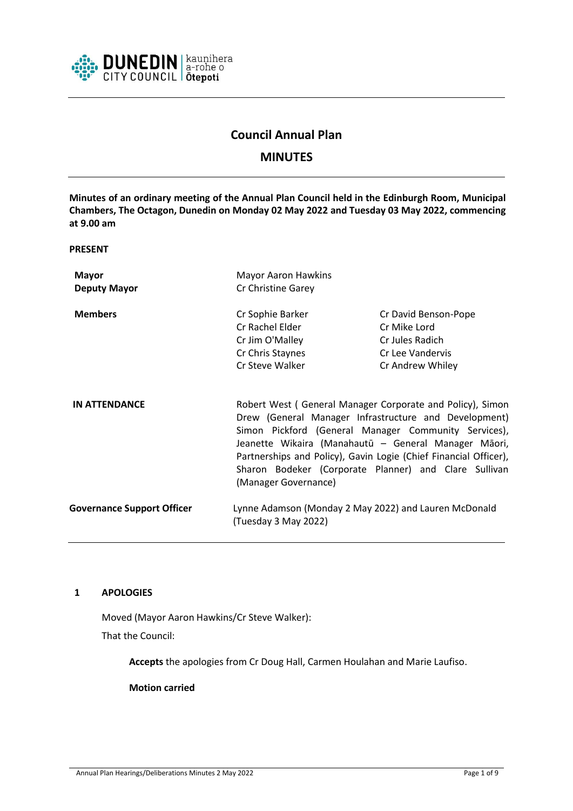

# **Council Annual Plan**

# **MINUTES**

**Minutes of an ordinary meeting of the Annual Plan Council held in the Edinburgh Room, Municipal Chambers, The Octagon, Dunedin on Monday 02 May 2022 and Tuesday 03 May 2022, commencing at 9.00 am**

**PRESENT**

| <b>Mayor</b>                      | <b>Mayor Aaron Hawkins</b>                                                                                                                                                                                                                                                                                                                                                              |                      |
|-----------------------------------|-----------------------------------------------------------------------------------------------------------------------------------------------------------------------------------------------------------------------------------------------------------------------------------------------------------------------------------------------------------------------------------------|----------------------|
| <b>Deputy Mayor</b>               | Cr Christine Garey                                                                                                                                                                                                                                                                                                                                                                      |                      |
| <b>Members</b>                    | Cr Sophie Barker                                                                                                                                                                                                                                                                                                                                                                        | Cr David Benson-Pope |
|                                   | Cr Rachel Elder                                                                                                                                                                                                                                                                                                                                                                         | Cr Mike Lord         |
|                                   | Cr Jim O'Malley                                                                                                                                                                                                                                                                                                                                                                         | Cr Jules Radich      |
|                                   | Cr Chris Staynes                                                                                                                                                                                                                                                                                                                                                                        | Cr Lee Vandervis     |
|                                   | Cr Steve Walker                                                                                                                                                                                                                                                                                                                                                                         | Cr Andrew Whiley     |
| <b>IN ATTENDANCE</b>              | Robert West (General Manager Corporate and Policy), Simon<br>Drew (General Manager Infrastructure and Development)<br>Simon Pickford (General Manager Community Services),<br>Jeanette Wikaira (Manahautū - General Manager Māori,<br>Partnerships and Policy), Gavin Logie (Chief Financial Officer),<br>Sharon Bodeker (Corporate Planner) and Clare Sullivan<br>(Manager Governance) |                      |
| <b>Governance Support Officer</b> | Lynne Adamson (Monday 2 May 2022) and Lauren McDonald<br>(Tuesday 3 May 2022)                                                                                                                                                                                                                                                                                                           |                      |

# **1 APOLOGIES**

Moved (Mayor Aaron Hawkins/Cr Steve Walker):

That the Council:

**Accepts** the apologies from Cr Doug Hall, Carmen Houlahan and Marie Laufiso.

**Motion carried**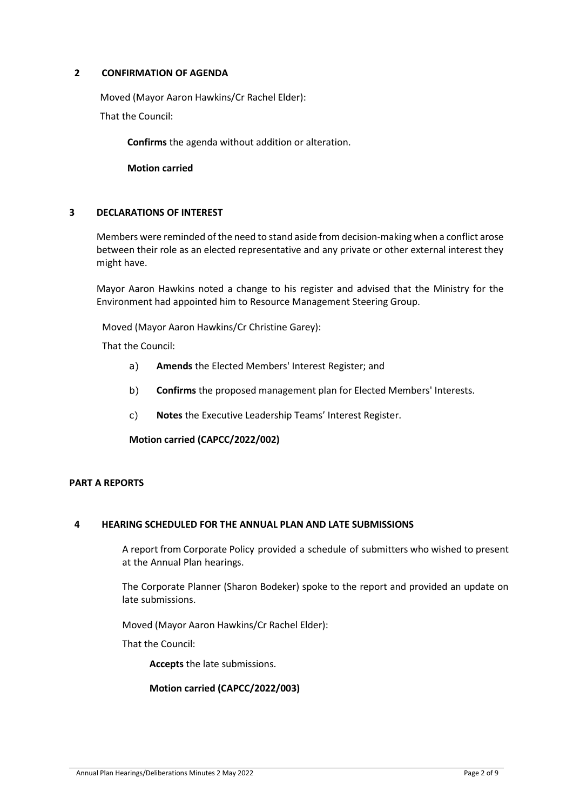# **2 CONFIRMATION OF AGENDA**

Moved (Mayor Aaron Hawkins/Cr Rachel Elder):

That the Council:

**Confirms** the agenda without addition or alteration.

**Motion carried**

# **3 DECLARATIONS OF INTEREST**

Members were reminded of the need to stand aside from decision-making when a conflict arose between their role as an elected representative and any private or other external interest they might have.

Mayor Aaron Hawkins noted a change to his register and advised that the Ministry for the Environment had appointed him to Resource Management Steering Group.

Moved (Mayor Aaron Hawkins/Cr Christine Garey):

That the Council:

- a) **Amends** the Elected Members' Interest Register; and
- b) **Confirms** the proposed management plan for Elected Members' Interests.
- c) **Notes** the Executive Leadership Teams' Interest Register.

**Motion carried (CAPCC/2022/002)**

# **PART A REPORTS**

## **4 HEARING SCHEDULED FOR THE ANNUAL PLAN AND LATE SUBMISSIONS**

A report from Corporate Policy provided a schedule of submitters who wished to present at the Annual Plan hearings.

The Corporate Planner (Sharon Bodeker) spoke to the report and provided an update on late submissions.

Moved (Mayor Aaron Hawkins/Cr Rachel Elder):

That the Council:

**Accepts** the late submissions.

## **Motion carried (CAPCC/2022/003)**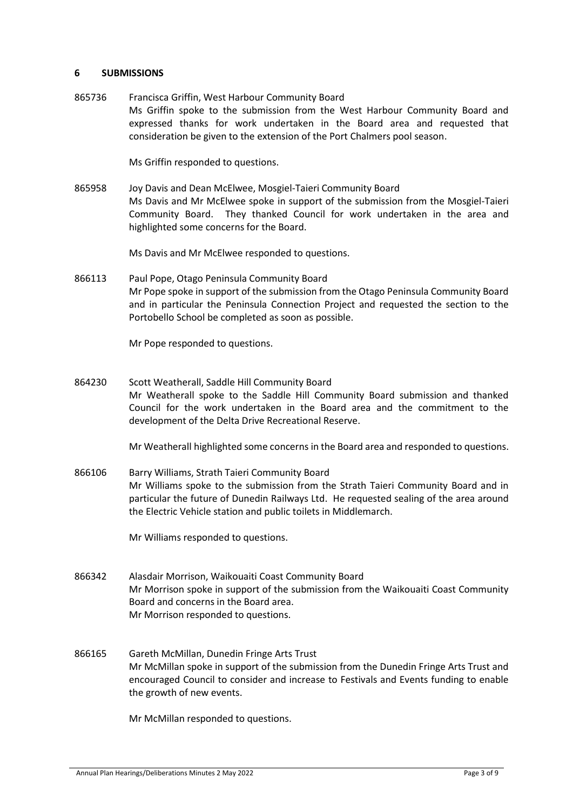#### **6 SUBMISSIONS**

865736 Francisca Griffin, West Harbour Community Board Ms Griffin spoke to the submission from the West Harbour Community Board and expressed thanks for work undertaken in the Board area and requested that consideration be given to the extension of the Port Chalmers pool season.

Ms Griffin responded to questions.

865958 Joy Davis and Dean McElwee, Mosgiel-Taieri Community Board Ms Davis and Mr McElwee spoke in support of the submission from the Mosgiel-Taieri Community Board. They thanked Council for work undertaken in the area and highlighted some concerns for the Board.

Ms Davis and Mr McElwee responded to questions.

866113 Paul Pope, Otago Peninsula Community Board Mr Pope spoke in support of the submission from the Otago Peninsula Community Board and in particular the Peninsula Connection Project and requested the section to the Portobello School be completed as soon as possible.

Mr Pope responded to questions.

864230 Scott Weatherall, Saddle Hill Community Board Mr Weatherall spoke to the Saddle Hill Community Board submission and thanked Council for the work undertaken in the Board area and the commitment to the development of the Delta Drive Recreational Reserve.

Mr Weatherall highlighted some concerns in the Board area and responded to questions.

866106 Barry Williams, Strath Taieri Community Board Mr Williams spoke to the submission from the Strath Taieri Community Board and in particular the future of Dunedin Railways Ltd. He requested sealing of the area around the Electric Vehicle station and public toilets in Middlemarch.

Mr Williams responded to questions.

- 866342 Alasdair Morrison, Waikouaiti Coast Community Board Mr Morrison spoke in support of the submission from the Waikouaiti Coast Community Board and concerns in the Board area. Mr Morrison responded to questions.
- 866165 Gareth McMillan, Dunedin Fringe Arts Trust Mr McMillan spoke in support of the submission from the Dunedin Fringe Arts Trust and encouraged Council to consider and increase to Festivals and Events funding to enable the growth of new events.

Mr McMillan responded to questions.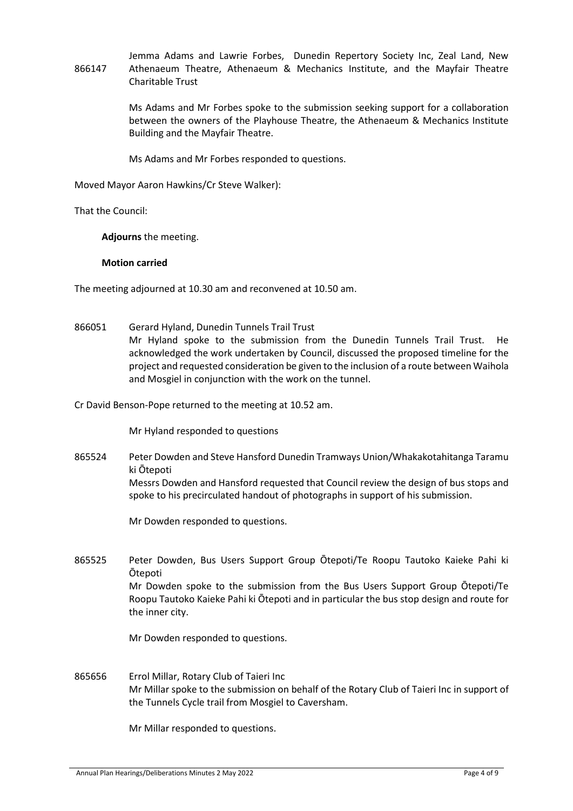866147 Jemma Adams and Lawrie Forbes, Dunedin Repertory Society Inc, Zeal Land, New Athenaeum Theatre, Athenaeum & Mechanics Institute, and the Mayfair Theatre Charitable Trust

> Ms Adams and Mr Forbes spoke to the submission seeking support for a collaboration between the owners of the Playhouse Theatre, the Athenaeum & Mechanics Institute Building and the Mayfair Theatre.

Ms Adams and Mr Forbes responded to questions.

Moved Mayor Aaron Hawkins/Cr Steve Walker):

That the Council:

**Adjourns** the meeting.

**Motion carried**

The meeting adjourned at 10.30 am and reconvened at 10.50 am.

866051 Gerard Hyland, Dunedin Tunnels Trail Trust Mr Hyland spoke to the submission from the Dunedin Tunnels Trail Trust. He acknowledged the work undertaken by Council, discussed the proposed timeline for the project and requested consideration be given to the inclusion of a route between Waihola and Mosgiel in conjunction with the work on the tunnel.

Cr David Benson-Pope returned to the meeting at 10.52 am.

Mr Hyland responded to questions

865524 Peter Dowden and Steve Hansford Dunedin Tramways Union/Whakakotahitanga Taramu ki Ōtepoti

Messrs Dowden and Hansford requested that Council review the design of bus stops and spoke to his precirculated handout of photographs in support of his submission.

Mr Dowden responded to questions.

865525 Peter Dowden, Bus Users Support Group Ōtepoti/Te Roopu Tautoko Kaieke Pahi ki Ōtepoti Mr Dowden spoke to the submission from the Bus Users Support Group Ōtepoti/Te Roopu Tautoko Kaieke Pahi ki Ōtepoti and in particular the bus stop design and route for the inner city.

Mr Dowden responded to questions.

865656 Errol Millar, Rotary Club of Taieri Inc Mr Millar spoke to the submission on behalf of the Rotary Club of Taieri Inc in support of the Tunnels Cycle trail from Mosgiel to Caversham.

Mr Millar responded to questions.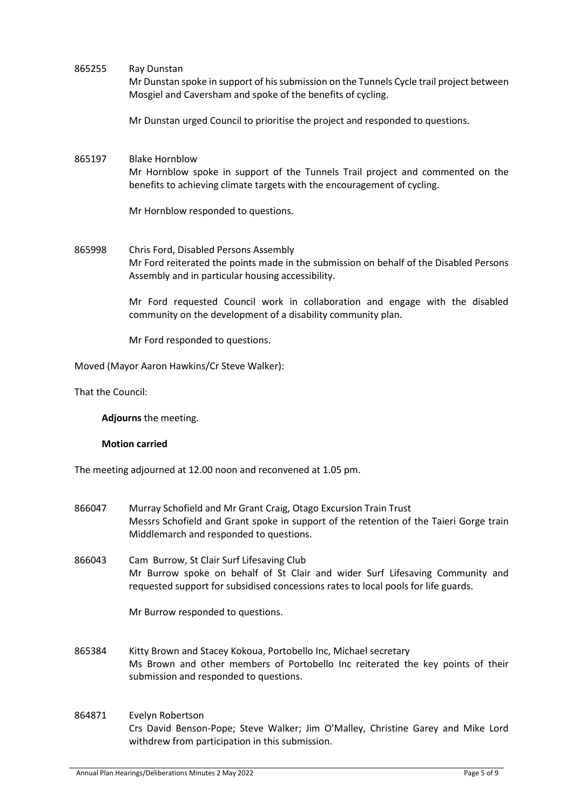865255 Ray Dunstan Mr Dunstan spoke in support of his submission on the Tunnels Cycle trail project between

Mosgiel and Caversham and spoke of the benefits of cycling.

Mr Dunstan urged Council to prioritise the project and responded to questions.

# 865197 Blake Hornblow

Mr Hornblow spoke in support of the Tunnels Trail project and commented on the benefits to achieving climate targets with the encouragement of cycling.

Mr Hornblow responded to questions.

865998 Chris Ford, Disabled Persons Assembly Mr Ford reiterated the points made in the submission on behalf of the Disabled Persons Assembly and in particular housing accessibility.

> Mr Ford requested Council work in collaboration and engage with the disabled community on the development of a disability community plan.

Mr Ford responded to questions.

Moved (Mayor Aaron Hawkins/Cr Steve Walker):

That the Council:

**Adjourns** the meeting.

## **Motion carried**

The meeting adjourned at 12.00 noon and reconvened at 1.05 pm.

- 866047 Murray Schofield and Mr Grant Craig, Otago Excursion Train Trust Messrs Schofield and Grant spoke in support of the retention of the Taieri Gorge train Middlemarch and responded to questions.
- 866043 Cam Burrow, St Clair Surf Lifesaving Club Mr Burrow spoke on behalf of St Clair and wider Surf Lifesaving Community and requested support for subsidised concessions rates to local pools for life guards.

Mr Burrow responded to questions.

- 865384 Kitty Brown and Stacey Kokoua, Portobello Inc, Michael secretary Ms Brown and other members of Portobello Inc reiterated the key points of their submission and responded to questions.
- 864871 Evelyn Robertson Crs David Benson-Pope; Steve Walker; Jim O'Malley, Christine Garey and Mike Lord withdrew from participation in this submission.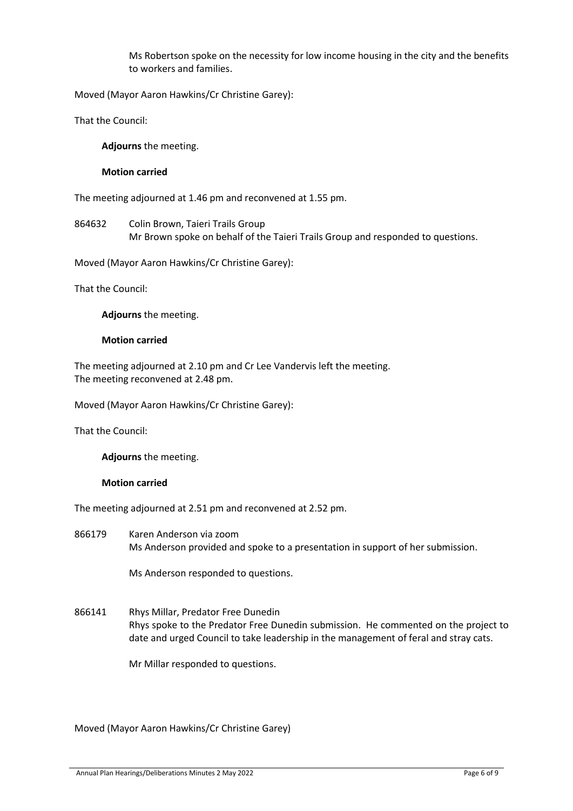Ms Robertson spoke on the necessity for low income housing in the city and the benefits to workers and families.

Moved (Mayor Aaron Hawkins/Cr Christine Garey):

That the Council:

**Adjourns** the meeting.

## **Motion carried**

The meeting adjourned at 1.46 pm and reconvened at 1.55 pm.

864632 Colin Brown, Taieri Trails Group Mr Brown spoke on behalf of the Taieri Trails Group and responded to questions.

Moved (Mayor Aaron Hawkins/Cr Christine Garey):

That the Council:

**Adjourns** the meeting.

#### **Motion carried**

The meeting adjourned at 2.10 pm and Cr Lee Vandervis left the meeting. The meeting reconvened at 2.48 pm.

Moved (Mayor Aaron Hawkins/Cr Christine Garey):

That the Council:

**Adjourns** the meeting.

#### **Motion carried**

The meeting adjourned at 2.51 pm and reconvened at 2.52 pm.

866179 Karen Anderson via zoom Ms Anderson provided and spoke to a presentation in support of her submission.

Ms Anderson responded to questions.

866141 Rhys Millar, Predator Free Dunedin Rhys spoke to the Predator Free Dunedin submission. He commented on the project to date and urged Council to take leadership in the management of feral and stray cats.

Mr Millar responded to questions.

Moved (Mayor Aaron Hawkins/Cr Christine Garey)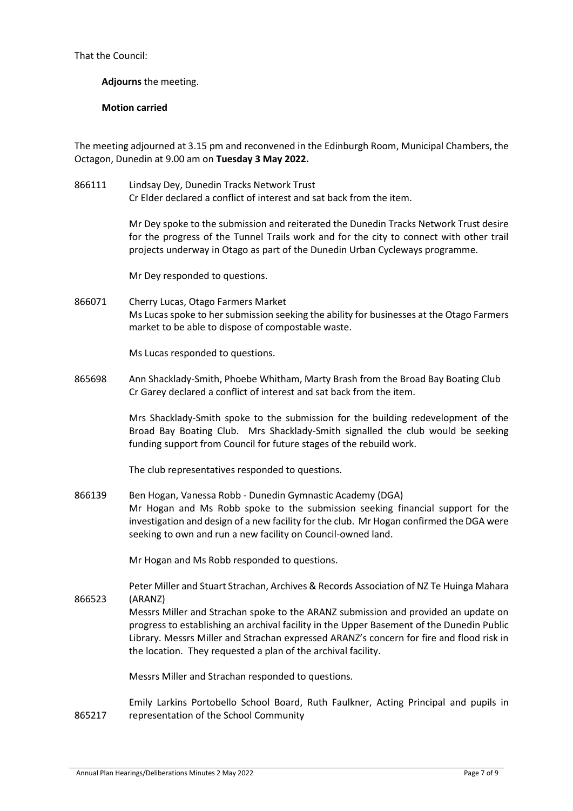That the Council:

**Adjourns** the meeting.

# **Motion carried**

The meeting adjourned at 3.15 pm and reconvened in the Edinburgh Room, Municipal Chambers, the Octagon, Dunedin at 9.00 am on **Tuesday 3 May 2022.**

866111 Lindsay Dey, Dunedin Tracks Network Trust Cr Elder declared a conflict of interest and sat back from the item.

> Mr Dey spoke to the submission and reiterated the Dunedin Tracks Network Trust desire for the progress of the Tunnel Trails work and for the city to connect with other trail projects underway in Otago as part of the Dunedin Urban Cycleways programme.

Mr Dey responded to questions.

866071 Cherry Lucas, Otago Farmers Market Ms Lucas spoke to her submission seeking the ability for businesses at the Otago Farmers market to be able to dispose of compostable waste.

Ms Lucas responded to questions.

865698 Ann Shacklady-Smith, Phoebe Whitham, Marty Brash from the Broad Bay Boating Club Cr Garey declared a conflict of interest and sat back from the item.

> Mrs Shacklady-Smith spoke to the submission for the building redevelopment of the Broad Bay Boating Club. Mrs Shacklady-Smith signalled the club would be seeking funding support from Council for future stages of the rebuild work.

The club representatives responded to questions.

866139 Ben Hogan, Vanessa Robb - Dunedin Gymnastic Academy (DGA) Mr Hogan and Ms Robb spoke to the submission seeking financial support for the investigation and design of a new facility for the club. Mr Hogan confirmed the DGA were seeking to own and run a new facility on Council-owned land.

Mr Hogan and Ms Robb responded to questions.

Peter Miller and Stuart Strachan, Archives & Records Association of NZ Te Huinga Mahara (ARANZ)

Messrs Miller and Strachan spoke to the ARANZ submission and provided an update on progress to establishing an archival facility in the Upper Basement of the Dunedin Public Library. Messrs Miller and Strachan expressed ARANZ's concern for fire and flood risk in the location. They requested a plan of the archival facility.

Messrs Miller and Strachan responded to questions.

865217 Emily Larkins Portobello School Board, Ruth Faulkner, Acting Principal and pupils in representation of the School Community

866523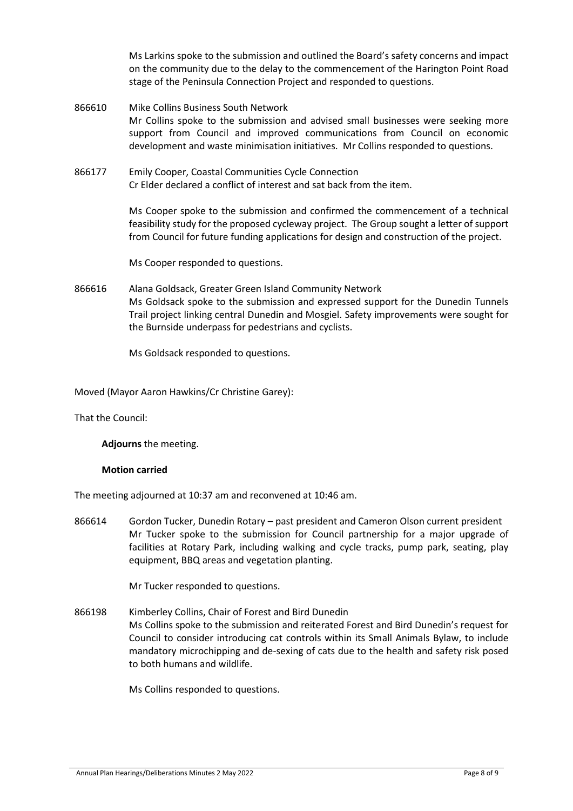Ms Larkins spoke to the submission and outlined the Board's safety concerns and impact on the community due to the delay to the commencement of the Harington Point Road stage of the Peninsula Connection Project and responded to questions.

866610 Mike Collins Business South Network Mr Collins spoke to the submission and advised small businesses were seeking more support from Council and improved communications from Council on economic development and waste minimisation initiatives. Mr Collins responded to questions.

866177 Emily Cooper, Coastal Communities Cycle Connection Cr Elder declared a conflict of interest and sat back from the item.

> Ms Cooper spoke to the submission and confirmed the commencement of a technical feasibility study for the proposed cycleway project. The Group sought a letter of support from Council for future funding applications for design and construction of the project.

Ms Cooper responded to questions.

866616 Alana Goldsack, Greater Green Island Community Network Ms Goldsack spoke to the submission and expressed support for the Dunedin Tunnels Trail project linking central Dunedin and Mosgiel. Safety improvements were sought for the Burnside underpass for pedestrians and cyclists.

Ms Goldsack responded to questions.

Moved (Mayor Aaron Hawkins/Cr Christine Garey):

That the Council:

**Adjourns** the meeting.

#### **Motion carried**

The meeting adjourned at 10:37 am and reconvened at 10:46 am.

866614 Gordon Tucker, Dunedin Rotary – past president and Cameron Olson current president Mr Tucker spoke to the submission for Council partnership for a major upgrade of facilities at Rotary Park, including walking and cycle tracks, pump park, seating, play equipment, BBQ areas and vegetation planting.

Mr Tucker responded to questions.

866198 Kimberley Collins, Chair of Forest and Bird Dunedin Ms Collins spoke to the submission and reiterated Forest and Bird Dunedin's request for Council to consider introducing cat controls within its Small Animals Bylaw, to include mandatory microchipping and de-sexing of cats due to the health and safety risk posed to both humans and wildlife.

Ms Collins responded to questions.